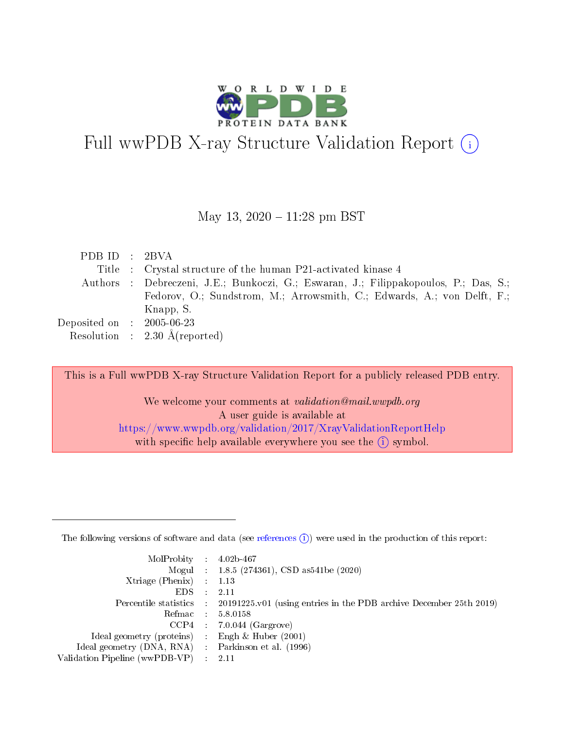

# Full wwPDB X-ray Structure Validation Report  $(i)$

#### May 13,  $2020 - 11:28$  pm BST

| PDB ID : 2BVA                                             |                                                                                      |
|-----------------------------------------------------------|--------------------------------------------------------------------------------------|
|                                                           | Title : Crystal structure of the human P21-activated kinase 4                        |
|                                                           | Authors : Debreczeni, J.E.; Bunkoczi, G.; Eswaran, J.; Filippakopoulos, P.; Das, S.; |
|                                                           | Fedorov, O.; Sundstrom, M.; Arrowsmith, C.; Edwards, A.; von Delft, F.;              |
|                                                           | Knapp, S.                                                                            |
| $\rm Deposited\; on \;\; : \;\; 2005\text{-}06\text{-}23$ |                                                                                      |
|                                                           | Resolution : $2.30 \text{ Å}$ (reported)                                             |

This is a Full wwPDB X-ray Structure Validation Report for a publicly released PDB entry.

We welcome your comments at validation@mail.wwpdb.org A user guide is available at <https://www.wwpdb.org/validation/2017/XrayValidationReportHelp> with specific help available everywhere you see the  $(i)$  symbol.

The following versions of software and data (see [references](https://www.wwpdb.org/validation/2017/XrayValidationReportHelp#references)  $(1)$ ) were used in the production of this report:

| $MolProbability$ 4.02b-467                          |               |                                                                                            |
|-----------------------------------------------------|---------------|--------------------------------------------------------------------------------------------|
|                                                     |               | Mogul : $1.8.5$ (274361), CSD as 541be (2020)                                              |
| Xtriage (Phenix) $: 1.13$                           |               |                                                                                            |
| EDS.                                                | $\mathcal{L}$ | -2.11                                                                                      |
|                                                     |               | Percentile statistics : 20191225.v01 (using entries in the PDB archive December 25th 2019) |
|                                                     |               | Refmac $5.8.0158$                                                                          |
| CCP4                                                |               | $7.0.044$ (Gargrove)                                                                       |
| Ideal geometry (proteins)                           | $\sim$        | Engh $\&$ Huber (2001)                                                                     |
| Ideal geometry (DNA, RNA) : Parkinson et al. (1996) |               |                                                                                            |
| Validation Pipeline (wwPDB-VP) : 2.11               |               |                                                                                            |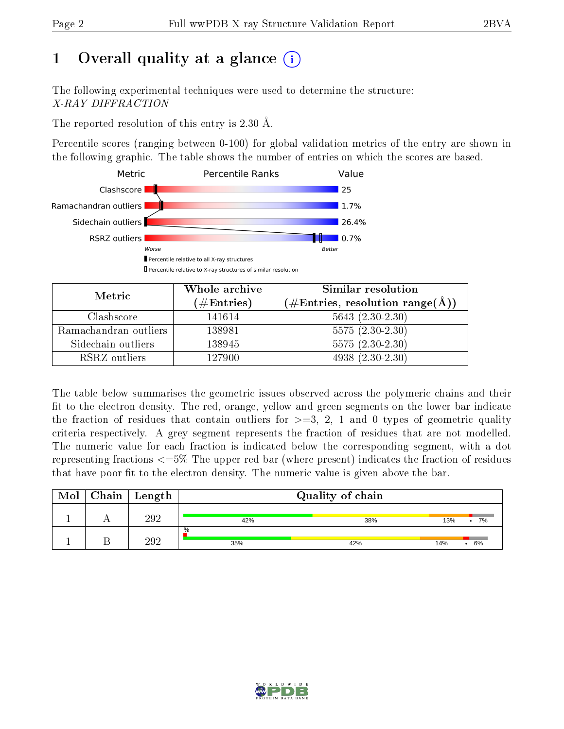# 1 [O](https://www.wwpdb.org/validation/2017/XrayValidationReportHelp#overall_quality)verall quality at a glance  $(i)$

The following experimental techniques were used to determine the structure: X-RAY DIFFRACTION

The reported resolution of this entry is 2.30 Å.

Percentile scores (ranging between 0-100) for global validation metrics of the entry are shown in the following graphic. The table shows the number of entries on which the scores are based.



| Metric                | Whole archive<br>$(\#\mathrm{Entries})$ | Similar resolution<br>$(\#\text{Entries}, \text{resolution range}(\text{\AA}))$ |  |
|-----------------------|-----------------------------------------|---------------------------------------------------------------------------------|--|
| Clashscore            | 141614                                  | $5643(2.30-2.30)$                                                               |  |
| Ramachandran outliers | 138981                                  | $5575(2.30-2.30)$                                                               |  |
| Sidechain outliers    | 138945                                  | $5575(2.30-2.30)$                                                               |  |
| RSRZ outliers         | 127900                                  | $4938(2.30-2.30)$                                                               |  |

The table below summarises the geometric issues observed across the polymeric chains and their fit to the electron density. The red, orange, yellow and green segments on the lower bar indicate the fraction of residues that contain outliers for  $\geq=3$ , 2, 1 and 0 types of geometric quality criteria respectively. A grey segment represents the fraction of residues that are not modelled. The numeric value for each fraction is indicated below the corresponding segment, with a dot representing fractions  $\epsilon=5\%$  The upper red bar (where present) indicates the fraction of residues that have poor fit to the electron density. The numeric value is given above the bar.

| Mol | Chain | $\perp$ Length |             | Quality of chain |     |         |
|-----|-------|----------------|-------------|------------------|-----|---------|
|     |       | 292            | 42%         | 38%              | 13% | 7%<br>٠ |
|     |       | າດາ            | $\%$<br>35% | 42%              | 14% | 6%      |

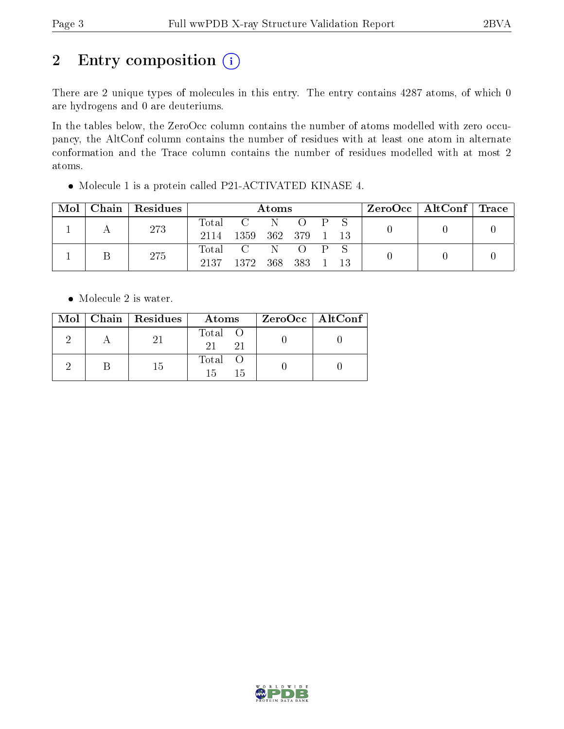# 2 Entry composition (i)

There are 2 unique types of molecules in this entry. The entry contains 4287 atoms, of which 0 are hydrogens and 0 are deuteriums.

In the tables below, the ZeroOcc column contains the number of atoms modelled with zero occupancy, the AltConf column contains the number of residues with at least one atom in alternate conformation and the Trace column contains the number of residues modelled with at most 2 atoms.

| Mol | Chain   Residues | Atoms       |                |  |  |                         |    | $\text{ZeroOcc} \mid \text{AltConf} \mid \text{Trace}$ |  |
|-----|------------------|-------------|----------------|--|--|-------------------------|----|--------------------------------------------------------|--|
|     | 273              | Total C N O |                |  |  | $\mathbf{P} \mathbf{S}$ |    |                                                        |  |
|     |                  | 2114        | 1359 362 379 1 |  |  |                         |    |                                                        |  |
|     | 275              | Total C N O |                |  |  |                         |    |                                                        |  |
|     |                  | 2137        | 1372 368 383 1 |  |  |                         | 13 |                                                        |  |

Molecule 1 is a protein called P21-ACTIVATED KINASE 4.

• Molecule 2 is water.

|  | $Mol$   Chain   Residues | Atoms               | $ZeroOcc \mid AltConf \mid$ |
|--|--------------------------|---------------------|-----------------------------|
|  |                          | Total O<br>21<br>21 |                             |
|  | 15                       | Total O<br>15<br>15 |                             |

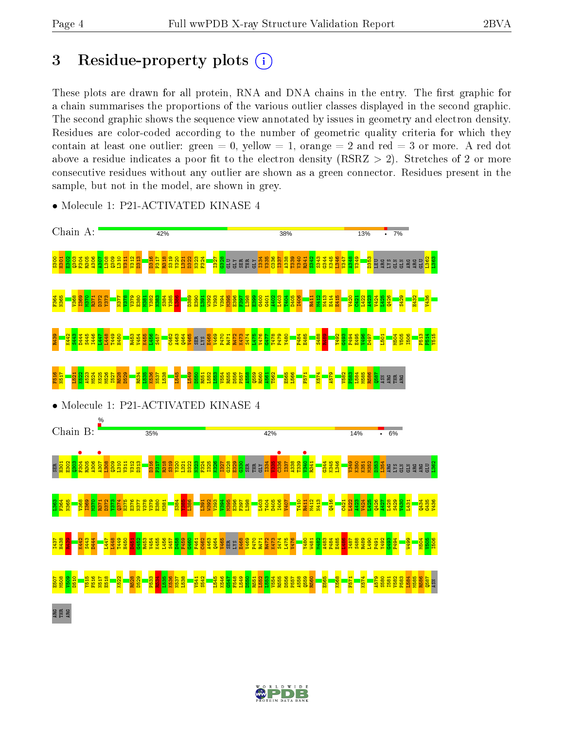## 3 Residue-property plots  $(i)$

These plots are drawn for all protein, RNA and DNA chains in the entry. The first graphic for a chain summarises the proportions of the various outlier classes displayed in the second graphic. The second graphic shows the sequence view annotated by issues in geometry and electron density. Residues are color-coded according to the number of geometric quality criteria for which they contain at least one outlier: green  $= 0$ , yellow  $= 1$ , orange  $= 2$  and red  $= 3$  or more. A red dot above a residue indicates a poor fit to the electron density (RSRZ  $> 2$ ). Stretches of 2 or more consecutive residues without any outlier are shown as a green connector. Residues present in the sample, but not in the model, are shown in grey.



• Molecule 1: P21-ACTIVATED KINASE 4

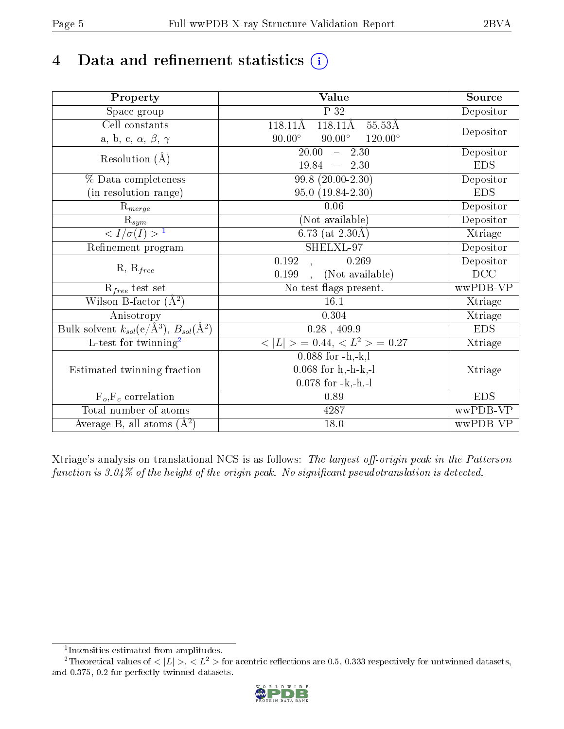# 4 Data and refinement statistics  $(i)$

| Property                                                             | Value                                                  | Source     |
|----------------------------------------------------------------------|--------------------------------------------------------|------------|
| Space group                                                          | $\overline{P}32$                                       | Depositor  |
| Cell constants                                                       | $118.11\text{\AA}$<br>$118.11\text{\AA}$<br>$55.53\AA$ |            |
| a, b, c, $\alpha$ , $\beta$ , $\gamma$                               | $90.00^\circ$<br>$90.00^\circ$<br>$120.00^{\circ}$     | Depositor  |
| Resolution $(\AA)$                                                   | $\overline{20.00}$<br>$-2.30$                          | Depositor  |
|                                                                      | 19.84<br>$-2.30$                                       | <b>EDS</b> |
| % Data completeness                                                  | $99.8(20.00-2.30)$                                     | Depositor  |
| (in resolution range)                                                | $95.0(19.84-2.30)$                                     | <b>EDS</b> |
| $R_{merge}$                                                          | 0.06                                                   | Depositor  |
| $\mathrm{\bar{R}_{\it sym}}$                                         | (Not available)                                        | Depositor  |
| $\frac{1}{\sigma(I)} > 1$                                            | 6.73 (at $2.30\text{\AA}$ )                            | Xtriage    |
| Refinement program                                                   | $\overline{\text{SHEL}}$ -97                           | Depositor  |
|                                                                      | 0.192<br>0.269<br>$\mathbf{A}$                         | Depositor  |
| $R, R_{free}$                                                        | (Not available)<br>0.199                               | DCC        |
| $R_{free}$ test set                                                  | No test flags present.                                 | wwPDB-VP   |
| Wilson B-factor $(A^2)$                                              | 16.1                                                   | Xtriage    |
| Anisotropy                                                           | 0.304                                                  | Xtriage    |
| Bulk solvent $k_{sol}(e/\mathring{A}^3)$ , $B_{sol}(\mathring{A}^2)$ | $0.28$ , 409.9                                         | <b>EDS</b> |
| L-test for twinning <sup>2</sup>                                     | $< L >$ = 0.44, $< L2$ > = 0.27                        | Xtriage    |
|                                                                      | $0.088$ for $-h,-k,l$                                  |            |
| Estimated twinning fraction                                          | $0.068$ for h,-h-k,-l                                  | Xtriage    |
|                                                                      | $0.078$ for $-k,-h,-l$                                 |            |
| $F_o, F_c$ correlation                                               | 0.89                                                   | <b>EDS</b> |
| Total number of atoms                                                | 4287                                                   | wwPDB-VP   |
| Average B, all atoms $(A^2)$                                         | 18.0                                                   | wwPDB-VP   |

Xtriage's analysis on translational NCS is as follows: The largest off-origin peak in the Patterson function is  $3.04\%$  of the height of the origin peak. No significant pseudotranslation is detected.

<sup>&</sup>lt;sup>2</sup>Theoretical values of  $\langle |L| \rangle$ ,  $\langle L^2 \rangle$  for acentric reflections are 0.5, 0.333 respectively for untwinned datasets, and 0.375, 0.2 for perfectly twinned datasets.



<span id="page-4-1"></span><span id="page-4-0"></span><sup>1</sup> Intensities estimated from amplitudes.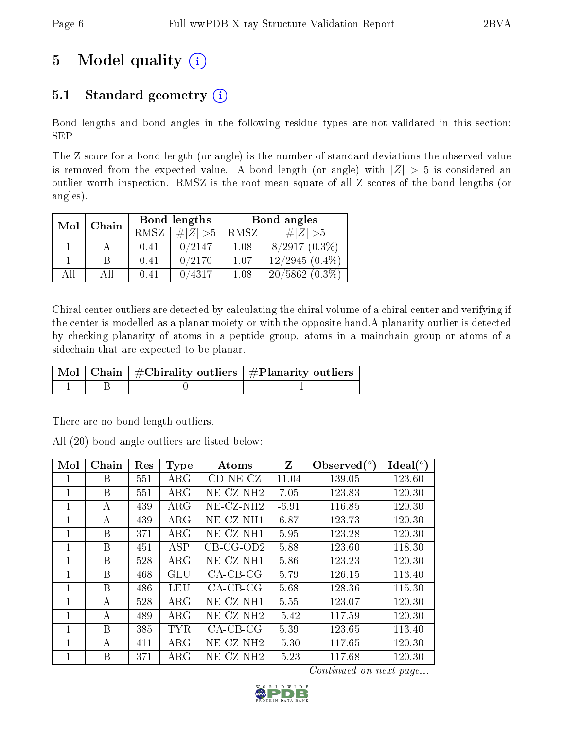# 5 Model quality  $(i)$

### 5.1 Standard geometry  $(i)$

Bond lengths and bond angles in the following residue types are not validated in this section: SEP

The Z score for a bond length (or angle) is the number of standard deviations the observed value is removed from the expected value. A bond length (or angle) with  $|Z| > 5$  is considered an outlier worth inspection. RMSZ is the root-mean-square of all Z scores of the bond lengths (or angles).

| Mol | Chain |      | Bond lengths | Bond angles |                  |  |
|-----|-------|------|--------------|-------------|------------------|--|
|     |       | RMSZ | $\# Z  > 5$  | RMSZ        | # $ Z  > 5$      |  |
|     |       | 0.41 | 0/2147       | 1.08        | $8/2917(0.3\%)$  |  |
|     | R     | 0.41 | 0/2170       | 1.07        | $12/2945(0.4\%)$ |  |
| AП  | ΑH    | 0.41 | 0/4317       | 1.08        | $20/5862(0.3\%)$ |  |

Chiral center outliers are detected by calculating the chiral volume of a chiral center and verifying if the center is modelled as a planar moiety or with the opposite hand.A planarity outlier is detected by checking planarity of atoms in a peptide group, atoms in a mainchain group or atoms of a sidechain that are expected to be planar.

|  | $\mid$ Mol $\mid$ Chain $\mid$ #Chirality outliers $\mid$ #Planarity outliers $\mid$ |
|--|--------------------------------------------------------------------------------------|
|  |                                                                                      |

There are no bond length outliers.

All (20) bond angle outliers are listed below:

| Mol | Chain | Res | Type       | Atoms                 | Z       | Observed $(°)$ | $\text{Ideal}({}^o)$ |
|-----|-------|-----|------------|-----------------------|---------|----------------|----------------------|
| ı   | В     | 551 | $\rm{ARG}$ | $CD-NE- CZ$           | 11.04   | 139.05         | 123.60               |
| 1   | В     | 551 | $\rm{ARG}$ | NE-CZ-NH <sub>2</sub> | 7.05    | 123.83         | 120.30               |
|     | А     | 439 | $\rm{ARG}$ | $NE- CZ-NH2$          | $-6.91$ | 116.85         | 120.30               |
| 1   | А     | 439 | $\rm{ARG}$ | NE-CZ-NH1             | 6.87    | 123.73         | 120.30               |
| 1   | B     | 371 | $\rm{ARG}$ | $NE-CZ-NH1$           | 5.95    | 123.28         | 120.30               |
| 1   | B     | 451 | ASP        | $CB$ -CG-OD2          | 5.88    | 123.60         | 118.30               |
| 1   | B     | 528 | $\rm{ARG}$ | $NE-CZ-NH1$           | 5.86    | 123.23         | 120.30               |
| 1   | B     | 468 | GLU        | $CA-CB-CG$            | 5.79    | 126.15         | 113.40               |
| 1   | B     | 486 | LEU        | $CA-CB-CG$            | 5.68    | 128.36         | 115.30               |
| 1   | А     | 528 | $\rm{ARG}$ | $NE-CZ-NH1$           | 5.55    | 123.07         | 120.30               |
| 1   | А     | 489 | $\rm{ARG}$ | $NE-CZ-NH2$           | $-5.42$ | 117.59         | 120.30               |
| 1   | B     | 385 | <b>TYR</b> | $CA-CB-CG$            | 5.39    | 123.65         | 113.40               |
| 1   | A     | 411 | $\rm{ARG}$ | NE-CZ-NH <sub>2</sub> | $-5.30$ | 117.65         | 120.30               |
|     | В     | 371 | $\rm{ARG}$ | $NE$ $CZ$ - $NH2$     | $-5.23$ | 117.68         | 120.30               |

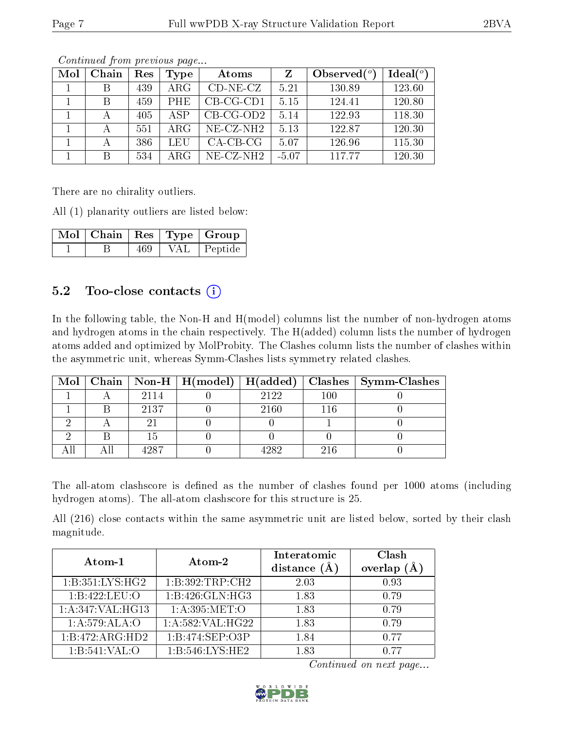| Mol | Chain | Res | Type       | Atoms        | Z       | Observed $(°)$ | Ideal $(°)$ |
|-----|-------|-----|------------|--------------|---------|----------------|-------------|
|     | B     | 439 | $\rm{ARG}$ | $CD-NE- CZ$  | 5.21    | 130.89         | 123.60      |
|     | B     | 459 | <b>PHE</b> | $CB-CG-CD1$  | 5.15    | 124.41         | 120.80      |
|     |       | 405 | ASP        | $CB-CG-OD2$  | 5.14    | 122.93         | 118.30      |
|     |       | 551 | $\rm{ARG}$ | $NE- CZ-NH2$ | 5.13    | 122.87         | 120.30      |
|     |       | 386 | LEU        | $CA-CB-CG$   | 5.07    | 126.96         | 115.30      |
|     | В     | 534 | $\rm{ARG}$ | $NE$ -CZ-NH2 | $-5.07$ | 117.77         | 120.30      |

There are no chirality outliers.

All (1) planarity outliers are listed below:

|  |     |            | Mol   Chain   Res   Type   Group |
|--|-----|------------|----------------------------------|
|  | 469 | <b>VAL</b> | Peptide                          |

### $5.2$  Too-close contacts  $(i)$

In the following table, the Non-H and H(model) columns list the number of non-hydrogen atoms and hydrogen atoms in the chain respectively. The H(added) column lists the number of hydrogen atoms added and optimized by MolProbity. The Clashes column lists the number of clashes within the asymmetric unit, whereas Symm-Clashes lists symmetry related clashes.

|  |      |       |     | Mol   Chain   Non-H   H(model)   H(added)   Clashes   Symm-Clashes |
|--|------|-------|-----|--------------------------------------------------------------------|
|  | 2114 | 2122  | 100 |                                                                    |
|  | 2137 | 2160  | 116 |                                                                    |
|  |      |       |     |                                                                    |
|  |      |       |     |                                                                    |
|  | 4987 | 4989. | 216 |                                                                    |

The all-atom clashscore is defined as the number of clashes found per 1000 atoms (including hydrogen atoms). The all-atom clashscore for this structure is 25.

All (216) close contacts within the same asymmetric unit are listed below, sorted by their clash magnitude.

| Atom-1             | Atom-2              | Interatomic<br>distance $(A)$ | Clash<br>overlap<br>(Å |
|--------------------|---------------------|-------------------------------|------------------------|
| 1: B:351: LYS: HG2 | 1:B:392:TRP:CH2     | 2.03                          | 0.93                   |
| 1:B:422:LEU:O      | 1:B:426:GLN:HG3     | 1.83                          | 0.79                   |
| 1:A:347:VAL:HG13   | 1: A:395: MET:O     | 1.83                          | 0.79                   |
| 1:A:579:ALA:O      | $1:$ A:582:VAL:HG22 | 1.83                          | 0.79                   |
| 1:B:472:ARG:HD2    | 1:B:474:SEP:O3P     | 1.84                          | 0.77                   |
| 1:B:541:VAL:O      | 1: B:546: LYS: HE2  | 1.83                          | 0.77                   |

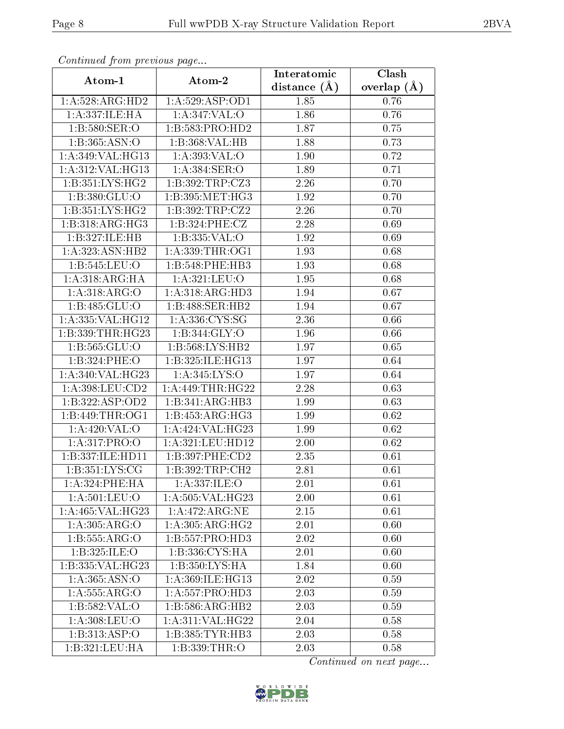| Continuea from previous page |                              | Interatomic       | Clash           |  |
|------------------------------|------------------------------|-------------------|-----------------|--|
| Atom-1                       | Atom-2                       | distance $(A)$    | overlap $(\AA)$ |  |
| 1: A:528: ARG:HD2            | 1: A:529: ASP:OD1            | 1.85              | 0.76            |  |
| 1:A:337:ILE:HA               | 1: A:347: VAL:O              | 1.86              | 0.76            |  |
| 1:B:580:SER:O                | 1:B:583:PRO:HD2              | 1.87              | 0.75            |  |
| 1:B:365:ASN:O                | 1:B:368:VAL:HB               | 1.88              | 0.73            |  |
| 1:A:349:VAL:HG13             | 1: A:393: VAL:O              | 1.90              | 0.72            |  |
| 1:A:312:VAL:HG13             | 1:A:384:SER:O                | 1.89              | 0.71            |  |
| 1:B:351:LYS:HG2              | 1:B:392:TRP:CZ3              | 2.26              | 0.70            |  |
| 1:B:380:GLU:O                | 1:B:395:MET:HG3              | 1.92              | 0.70            |  |
| 1:B:351:LYS:HG2              | 1:B:392:TRP:CZ2              | 2.26              | 0.70            |  |
| 1:B:318:ARG:HG3              | 1:B:324:PHE:CZ               | 2.28              | 0.69            |  |
| 1:B:327:ILE:HB               | 1:B:335:VAL:O                | 1.92              | 0.69            |  |
| 1: A: 323: ASN: HB2          | 1:A:339:THR:OG1              | 1.93              | 0.68            |  |
| 1:B:545:LEU:O                | 1:B:548:PHE:HB3              | 1.93              | 0.68            |  |
| 1: A:318: ARG: HA            | 1: A:321: LEU:O              | $1.95\,$          | 0.68            |  |
| 1: A:318: ARG:O              | 1:A:318:ARG:HD3              | 1.94              | 0.67            |  |
| 1:B:485:GLU:O                | 1:B:488:SER:HB2              | 1.94              | 0.67            |  |
| 1:A:335:VAL:HG12             | 1:A:336:CYS:SG               | 2.36              | 0.66            |  |
| 1:B:339:THR:HG23             | 1:B:344:GLY:O                | 1.96              | 0.66            |  |
| 1:B:565:GLU:O                | 1:B:568:LYS:HB2              | 1.97              | 0.65            |  |
| 1:B:324:PHE:O                | 1:B:325:ILE:HG13             | 1.97              | 0.64            |  |
| 1:A:340:VAL:HG23             | 1:A:345:LYS:O                | $\overline{1}.97$ | 0.64            |  |
| 1:A:398:LEU:CD2              | 1: A:449:THR:HG22            | 2.28              | 0.63            |  |
| 1:B:322:ASP:OD2              | 1:B:341:ARG:HB3              | 1.99              | 0.63            |  |
| 1:B:449:THR:OG1              | 1:B:453:ARG:HG3              | 1.99              | 0.62            |  |
| 1: A:420: VAL:O              | 1:A:424:VAL:HG23             | 1.99              | 0.62            |  |
| 1:A:317:PRO:O                | 1:A:321:LEU:HD12             | 2.00              | 0.62            |  |
| 1:B:337:ILE:HD11             | 1:B:397:PHE:CD2              | 2.35              | 0.61            |  |
| 1: B: 351: LYS: CG           | 1:B:392:TRP:CH2              | 2.81              | 0.61            |  |
| 1: A:324:PHE:HA              | 1:A:337:ILE:O                | 2.01              | 0.61            |  |
| 1: A:501:LEU:O               | 1: A: 505: VAL: HG23         | 2.00              | 0.61            |  |
| 1:A:465:VAL:H G23            | 1:A:472:ARG:NE               | 2.15              | 0.61            |  |
| 1:A:305:ARG:O                | 1: A:305: ARG: HG2           | 2.01              | 0.60            |  |
| 1: B: 555: ARG: O            | $1:B:557:PRO:H\overline{D3}$ | 2.02              | 0.60            |  |
| 1:B:325:ILE:O                | 1:B:336:CYS:HA               | 2.01              | 0.60            |  |
| 1:B:335:VAL:HG23             | 1:B:350:LYS:HA               | 1.84              | 0.60            |  |
| $1:\overline{A:365:ASN:O}$   | 1:A:369:ILE:HG13             | 2.02              | 0.59            |  |
| 1: A: 555: ARG: O            | 1: A: 557: PRO: HD3          | 2.03              | 0.59            |  |
| 1:B:582:VAL:O                | 1:B:586:ARG:HB2              | 2.03              | 0.59            |  |
| 1: A:308: LEU:O              | 1: A:311: VAL:HG22           | 2.04              | 0.58            |  |
| $1:B:313.\overline{ASP:O}$   | 1:B:385:TYR:HB3              | 2.03              | 0.58            |  |
| 1:B:321:LEU:HA               | 1:B:339:THR:O                | 2.03              | 0.58            |  |

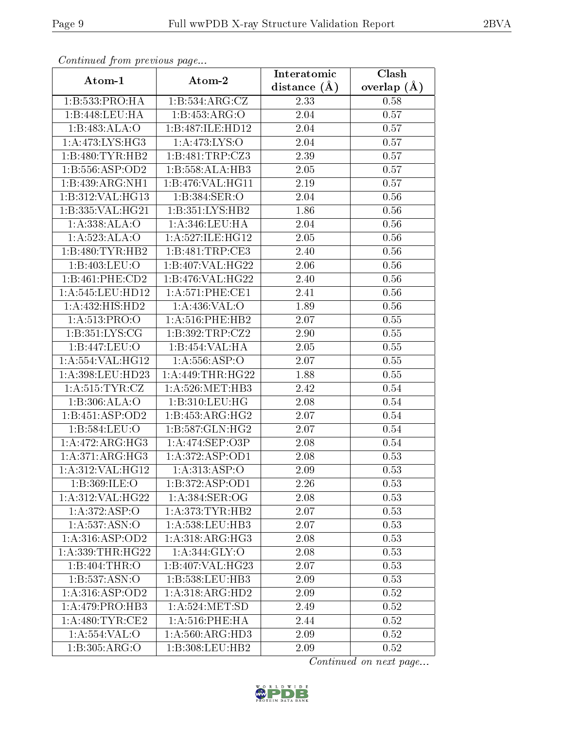| Comunaca jiom previous page |                     | Interatomic    | Clash         |
|-----------------------------|---------------------|----------------|---------------|
| Atom-1                      | Atom-2              | distance $(A)$ | overlap $(A)$ |
| 1:B:533:PRO:HA              | 1:B:534:ARG:CZ      | 2.33           | 0.58          |
| 1:B:448:LEU:HA              | 1: B: 453: ARG: O   | 2.04           | 0.57          |
| 1:B:483:ALA:O               | 1:B:487:ILE:HD12    | 2.04           | 0.57          |
| 1: A:473: LYS: HG3          | 1: A:473: LYS:O     | 2.04           | 0.57          |
| 1:B:480:TYR:HB2             | 1:B:481:TRP:CZ3     | 2.39           | 0.57          |
| 1:B:556:ASP:OD2             | 1:B:558:ALA:HB3     | 2.05           | 0.57          |
| 1:B:439:ARG:NH1             | 1:B:476:VAL:HG11    | 2.19           | 0.57          |
| 1:B:312:VAL:HG13            | 1:B:384:SER:O       | 2.04           | 0.56          |
| 1:B:335:VAL:HG21            | 1:B:351:LYS:HB2     | 1.86           | 0.56          |
| 1: A: 338: ALA: O           | 1: A:346:LEU:HA     | 2.04           | 0.56          |
| 1: A:523:ALA:O              | 1:A:527:ILE:HG12    | 2.05           | 0.56          |
| 1:B:480:TYR:HB2             | 1:B:481:TRP:CE3     | 2.40           | 0.56          |
| 1:B:403:LEU:O               | 1:B:407:VAL:HG22    | 2.06           | 0.56          |
| 1:B:461:PHE:CD2             | 1:B:476:VAL:HG22    | 2.40           | 0.56          |
| 1: A:545:LEU:HD12           | 1:A:571:PHE:CE1     | 2.41           | 0.56          |
| 1:A:432:HIS:HD2             | 1:A:436:VAL:O       | 1.89           | 0.56          |
| 1: A:513: PRO:O             | $1: A:516:$ PHE:HB2 | 2.07           | 0.55          |
| 1: B: 351: LYS: CG          | 1:B:392:TRP:CZ2     | 2.90           | 0.55          |
| 1:B:447:LEU:O               | 1:B:454:VAL:HA      | 2.05           | 0.55          |
| 1:A:554:VAL:HG12            | 1: A: 556: ASP:O    | 2.07           | 0.55          |
| 1:A:398:LEU:HD23            | 1: A:449:THR:HG22   | 1.88           | 0.55          |
| 1: A:515: TYR: CZ           | 1: A:526: MET:HB3   | 2.42           | 0.54          |
| 1:B:306:ALA:O               | 1:B:310:LEU:HG      | 2.08           | 0.54          |
| 1:B:451:ASP:OD2             | 1:B:453:ARG:HG2     | 2.07           | 0.54          |
| 1:B:584:LEU:O               | 1: B: 587: GLN: HG2 | 2.07           | 0.54          |
| 1:A:472:ARG:HG3             | 1:A:474:SEP:O3P     | 2.08           | 0.54          |
| 1: A:371: ARG: HG3          | 1: A:372: ASP:OD1   | 2.08           | 0.53          |
| 1:A:312:VAL:HG12            | 1:A:313:ASP:O       | 2.09           | 0.53          |
| 1:B:369:ILE:O               | 1:B:372:ASP:OD1     | 2.26           | 0.53          |
| 1:A:312:VAL:HG22            | 1:A:384:SER:OG      | 2.08           | 0.53          |
| 1: A:372: ASP:O             | 1: A:373: TYR: HB2  | 2.07           | 0.53          |
| 1: A: 537: ASN:O            | 1:A:538:LEU:HB3     | 2.07           | 0.53          |
| 1:A:316:ASP:OD2             | 1: A:318: ARG: HG3  | 2.08           | 0.53          |
| 1: A: 339: THR: HG22        | 1: A:344: GLY:O     | 2.08           | 0.53          |
| 1:B:404:THR:O               | 1:B:407:VAL:HG23    | 2.07           | 0.53          |
| 1:B:537:ASN:O               | 1:B:538:LEU:HB3     | 2.09           | 0.53          |
| 1: A:316: ASP:OD2           | 1:A:318:ARG:HD2     | 2.09           | 0.52          |
| 1: A:479: PRO:HB3           | 1: A:524: MET:SD    | 2.49           | 0.52          |
| 1: A:480: TYR: CE2          | 1: A:516:PHE:HA     | 2.44           | 0.52          |
| 1: A: 554: VAL: O           | 1: A:560: ARG:HD3   | 2.09           | 0.52          |
| 1: B:305: ARG:O             | 1:B:308:LEU:HB2     | 2.09           | 0.52          |

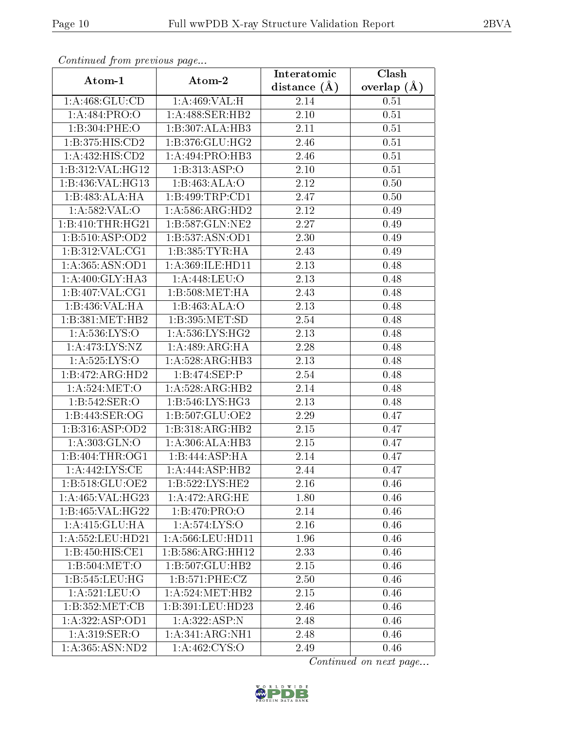| Continuatu jibin previous puge |                              | Interatomic      | Clash         |
|--------------------------------|------------------------------|------------------|---------------|
| Atom-1                         | Atom-2                       | distance $(\AA)$ | overlap $(A)$ |
| 1: A:468: GLU:CD               | 1:A:469:VAL:H                | 2.14             | 0.51          |
| 1:A:484:PRO:O                  | 1:A:488:SER:HB2              | $2.10\,$         | 0.51          |
| 1:B:304:PHE:O                  | 1:B:307:ALA:HB3              | 2.11             | 0.51          |
| 1:B:375:HIS:CD2                | 1: B: 376: GLU: HG2          | 2.46             | 0.51          |
| 1:A:432:HIS:CD2                | 1:A:494:PRO:HB3              | 2.46             | 0.51          |
| 1:B:312:VAL:HG12               | 1:B:313:ASP:O                | 2.10             | 0.51          |
| 1:B:436:VAL:HG13               | 1:B:463:ALA:O                | 2.12             | 0.50          |
| 1:B:483:ALA:HA                 | 1:B:499:TRP:CD1              | 2.47             | 0.50          |
| 1:A:582:VAL:O                  | 1:A:586:ARG:HD2              | 2.12             | 0.49          |
| 1:B:410:THR:HG21               | 1: B:587: GLN:NE2            | 2.27             | 0.49          |
| 1:B:510:ASP:OD2                | 1:B:537:ASN:OD1              | 2.30             | 0.49          |
| 1:B:312:VAL:CG1                | 1: B: 385: TYR: HA           | 2.43             | 0.49          |
| 1:A:365:ASN:OD1                | 1:A:369:ILE:HD11             | 2.13             | 0.48          |
| 1: A:400: GLY:HA3              | 1: A:448: LEU:O              | 2.13             | 0.48          |
| 1:B:407:VAL:CG1                | 1:B:508:MET:HA               | 2.43             | 0.48          |
| 1:B:436:VAL:HA                 | 1:B:463:ALA:O                | 2.13             | 0.48          |
| 1:B:381:MET:HB2                | 1:B:395:MET:SD               | 2.54             | 0.48          |
| 1: A: 536: LYS:O               | 1: A:536: LYS: HG2           | 2.13             | 0.48          |
| 1:A:473:LYS:NZ                 | 1:A:489:ARG:HA               | 2.28             | 0.48          |
| 1:A:525:LYS:O                  | 1:A:528:ARG:HB3              | 2.13             | 0.48          |
| 1:B:472:ARG:HD2                | 1:B:474:SEP:P                | 2.54             | 0.48          |
| 1: A:524: MET:O                | 1:A:528:ARG:HB2              | 2.14             | 0.48          |
| 1:B:542:SER:O                  | 1: B:546: LYS: HG3           | 2.13             | 0.48          |
| 1:B:443:SER:OG                 | 1:B:507:GLU:OE2              | 2.29             | 0.47          |
| 1:B:316:ASP:OD2                | 1:B:318:ARG:HB2              | 2.15             | 0.47          |
| 1:A:303:GLN:O                  | 1:A:306:ALA:HB3              | 2.15             | 0.47          |
| 1:B:404:THR:OG1                | 1:B:444:ASP:HA               | 2.14             | 0.47          |
| 1: A:442: LYS: CE              | 1:A:444:ASP:HB2              | 2.44             | 0.47          |
| 1: B:518: GLU:OE2              | 1:B:522:LYS:HE2              | 2.16             | 0.46          |
| 1:A:465:VAL:HG23               | 1: A:472:ARG:HE              | 1.80             | 0.46          |
| $1:B:465:\overline{VAL:HG22}$  | 1:B:470:PRO:O                | 2.14             | 0.46          |
| 1:A:415:GLU:HA                 | 1: A:574:LYS:O               | 2.16             | 0.46          |
| 1:A:552:LEU:HD21               | 1:A:566:LEU:HD11             | 1.96             | 0.46          |
| 1:B:450:HIS:CE1                | 1:B:586:ARG:HH12             | 2.33             | 0.46          |
| 1:B:504:MET:O                  | 1:B:507:GLU:HB2              | 2.15             | 0.46          |
| 1:B:545:LEU:HG                 | 1:B:571:PHE:CZ               | 2.50             | 0.46          |
| 1: A:521:LEU:O                 | 1: A:524: MET:HB2            | 2.15             | 0.46          |
| 1:B:352:MET:CB                 | 1:B:391:LEU:HD23             | 2.46             | 0.46          |
| 1:A:322:ASP:OD1                | 1:A:322:ASP:N                | 2.48             | 0.46          |
| 1:A:319:SER:O                  | 1:A:341:ARG:NH1              | 2.48             | 0.46          |
| 1: A: 365: ASN: ND2            | $1: A:462: \overline{CYS:O}$ | 2.49             | 0.46          |

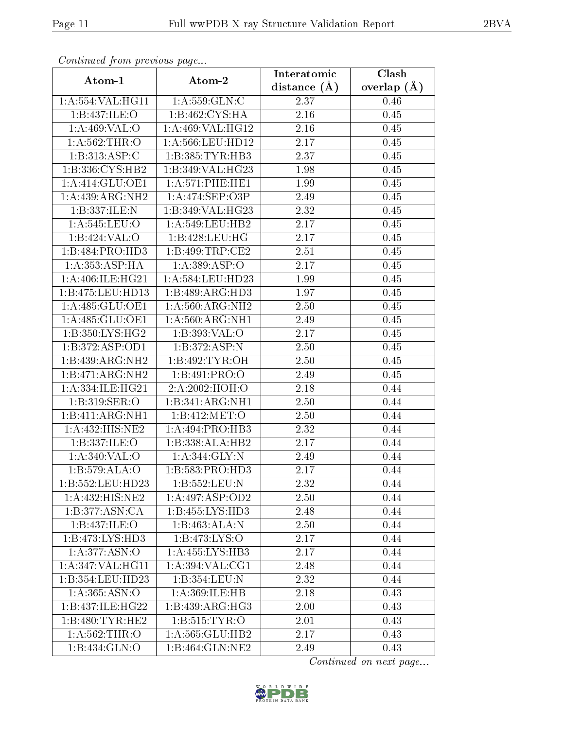| Continued from previous page |                      | Interatomic       | $\overline{\text{Clash}}$ |  |
|------------------------------|----------------------|-------------------|---------------------------|--|
| Atom-1                       | Atom-2               | distance $(A)$    | overlap $(A)$             |  |
| 1:A:554:VAL:HG11             | 1:A:559:GLN:C        | 2.37              | 0.46                      |  |
| 1:B:437:ILE:O                | 1:B:462:CYS:HA       | $\overline{2.16}$ | 0.45                      |  |
| 1: A:469: VAL:O              | 1:A:469:VAL:HG12     | 2.16              | 0.45                      |  |
| 1: A: 562:THR:O              | 1:A:566:LEU:HD12     | 2.17              | 0.45                      |  |
| 1:B:313:ASP:C                | 1:B:385:TYR:HB3      | 2.37              | 0.45                      |  |
| 1:B:336:CYS:HB2              | 1:B:349:VAL:HG23     | 1.98              | 0.45                      |  |
| 1:A:414:GLU:OE1              | 1: A:571:PHE:HE1     | 1.99              | 0.45                      |  |
| 1:A:439:ARG:NH2              | 1:A:474:SEP:O3P      | 2.49              | 0.45                      |  |
| 1:B:337:ILE:N                | 1:B:349:VAL:HG23     | 2.32              | 0.45                      |  |
| 1: A:545:LEU:O               | 1: A:549:LEU:HB2     | 2.17              | 0.45                      |  |
| 1:B:424:VAL:O                | 1:B:428:LEU:HG       | 2.17              | 0.45                      |  |
| 1:B:484:PRO:HD3              | 1:B:499:TRP:CE2      | 2.51              | 0.45                      |  |
| 1: A: 353: ASP:HA            | 1: A: 389: ASP: O    | 2.17              | 0.45                      |  |
| 1:A:406:ILE:HG21             | 1: A: 584: LEU: HD23 | 1.99              | 0.45                      |  |
| 1:B:475:LEU:HD13             | 1:B:489:ARG:HD3      | 1.97              | 0.45                      |  |
| 1:A:485:GLU:OE1              | 1: A:560:ARG:NH2     | 2.50              | 0.45                      |  |
| 1:A:485:GLU:OE1              | 1:A:560:ARG:NH1      | 2.49              | 0.45                      |  |
| 1:B:350:LYS:HG2              | 1:B:393:VAL:O        | 2.17              | 0.45                      |  |
| 1: B: 372: ASP: OD1          | 1:B:372:ASP:N        | 2.50              | $0.45\,$                  |  |
| $1:B:439:ARG:\overline{NH2}$ | 1:B:492:TYR:OH       | 2.50              | 0.45                      |  |
| 1:B:471:ARG:NH2              | 1:B:491:PRO:O        | 2.49              | 0.45                      |  |
| 1:A:334:ILE:HG21             | 2:A:2002:HOH:O       | 2.18              | 0.44                      |  |
| 1:B:319:SER:O                | 1:B:341:ARG:NH1      | 2.50              | 0.44                      |  |
| 1:B:411:ARG:NH1              | 1:B:412:MET:O        | 2.50              | 0.44                      |  |
| 1:A:432:HIS:NE2              | 1:A:494:PRO:HB3      | 2.32              | 0.44                      |  |
| 1:B:337:ILE:O                | 1:B:338:ALA:HB2      | 2.17              | 0.44                      |  |
| 1:A:340:VAL:O                | 1:A:344:GLY:N        | 2.49              | 0.44                      |  |
| 1:B:579:ALA:O                | 1:B:583:PRO:HD3      | 2.17              | 0.44                      |  |
| 1:B:552:LEU:HD23             | 1:B:552:LEU:N        | 2.32              | 0.44                      |  |
| 1:A:432:HIS:NE2              | 1: A:497: ASP:OD2    | 2.50              | 0.44                      |  |
| 1:B:377:ASN:CA               | 1:B:455:LYS:HD3      | 2.48              | 0.44                      |  |
| 1:B:437:ILE:O                | 1:B:463:ALA:N        | 2.50              | 0.44                      |  |
| 1:B:473:LYS:HD3              | 1:B:473:LYS:O        | 2.17              | 0.44                      |  |
| 1:A:377:ASN:O                | 1:A:455:LYS:HB3      | 2.17              | 0.44                      |  |
| 1: A:347: VAL:HGI1           | 1: A:394: VAL:CG1    | 2.48              | 0.44                      |  |
| 1:B:354:LEU:HD23             | 1:B:354:LEU:N        | 2.32              | 0.44                      |  |
| 1: A: 365: ASN: O            | 1:A:369:ILE:HB       | 2.18              | 0.43                      |  |
| 1:B:437:ILE:HG22             | 1:B:439:ARG:HG3      | 2.00              | 0.43                      |  |
| 1:B:480:TYR:HE2              | 1: B: 515: TYR: O    | 2.01              | 0.43                      |  |
| 1: A:562:THR:O               | 1:A:565:GLU:HB2      | 2.17              | 0.43                      |  |
| 1:B:434:GLN:O                | $1:B:464:$ GLN:NE2   | 2.49              | 0.43                      |  |

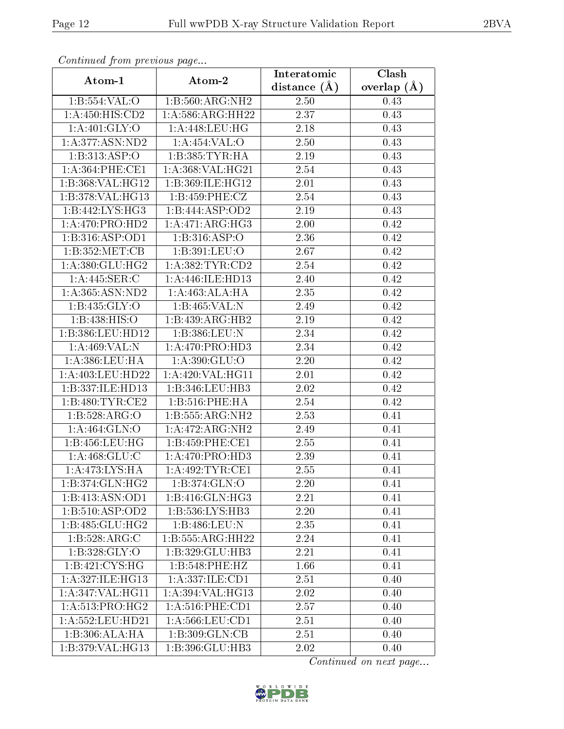| Communa from previous page           |                                   | Interatomic      | Clash         |
|--------------------------------------|-----------------------------------|------------------|---------------|
| Atom-1                               | Atom-2                            | distance $(\AA)$ | overlap $(A)$ |
| 1: B: 554: VAL: O                    | 1:B:560:ARG:NH2                   | 2.50             | 0.43          |
| 1:A:450:HIS:CD2                      | 1:A:586:ARG:HH22                  | 2.37             | 0.43          |
| 1: A:401: GLY:O                      | 1: A:448: LEU: HG                 | 2.18             | 0.43          |
| 1: A: 377: ASN: ND2                  | 1:A:454:VAL:O                     | 2.50             | 0.43          |
| 1:B:313:ASP:O                        | 1: B: 385: TYR: HA                | $2.19\,$         | 0.43          |
| 1: A:364:PHE:CE1                     | 1:A:368:VAL:HG21                  | 2.54             | 0.43          |
| 1:B:368:VAL:HG12                     | 1:B:369:ILE:HG12                  | 2.01             | 0.43          |
| 1:5:378:VAL:HG13                     | 1:B:459:PHE:CZ                    | 2.54             | 0.43          |
| 1:B:442:LYS:HG3                      | 1:B:444:ASP:OD2                   | 2.19             | 0.43          |
| 1:A:470:PRO:HD2                      | 1:A:471:ARG:HG3                   | 2.00             | 0.42          |
| 1:B:316:ASP:OD1                      | 1:B:316:ASP:O                     | 2.36             | 0.42          |
| 1:B:352:MET:CB                       | 1:B:391:LEU:O                     | 2.67             | 0.42          |
| 1: A:380: GLU: HG2                   | 1: A: 382: TYR: CD2               | 2.54             | 0.42          |
| 1:A:445:SER:C                        | 1:A:446:ILE:HD13                  | 2.40             | 0.42          |
| 1: A: 365: ASN: ND2                  | 1:A:463:ALA:HA                    | 2.35             | 0.42          |
| 1:B:435:GLY:O                        | 1:Bi:465:VAL:N                    | 2.49             | 0.42          |
| 1: B: 438: HIS: O                    | 1:B:439:ARG:HB2                   | 2.19             | 0.42          |
| 1:B:386:LEU:HD12                     | 1:B:386:LEU:N                     | 2.34             | 0.42          |
| 1:A:469:VAL:N                        | 1:A:470:PRO:HD3                   | 2.34             | 0.42          |
| 1: A: 386: LEU: HA                   | 1: A:390: GLU:O                   | 2.20             | 0.42          |
| 1: A:403:LEU:HD22                    | 1:A:420:VAL:HG11                  | 2.01             | 0.42          |
| 1:B:337:ILE:HD13                     | 1:B:346:LEU:HB3                   | 2.02             | 0.42          |
| 1: B:480: TYR: CE2                   | 1:B:516:PHE:HA                    | 2.54             | 0.42          |
| 1:B:528:ARG:O                        | 1:B:555:ARG:NH2                   | 2.53             | 0.41          |
| 1:A:464:GLN:O                        | 1:A:472:ARG:NH2                   | 2.49             | 0.41          |
| 1:B:456:LEU:HG                       | 1:B:459:PHE:CE1                   | 2.55             | 0.41          |
| 1: A:468: GLU:C                      | 1: A:470: PRO:HD3                 | 2.39             | 0.41          |
| 1:A:473:LYS:HA                       | 1:A:492:TYR:CE1                   | 2.55             | 0.41          |
| $1:B:374:$ GLN:HG2                   | 1:B:374:GLN:O                     | 2.20             | 0.41          |
| 1:B:413:ASN:OD1                      | 1:B:416:GLN:HG3                   | 2.21             | 0.41          |
| $1:B:510: \overline{\text{ASP:OD2}}$ | 1:B:536:LYS:HB3                   | 2.20             | 0.41          |
| $1:B:485:GL\overline{U:HG2}$         | 1:B:486:LEU:N                     | 2.35             | 0.41          |
| 1:B:528:ARG:C                        | 1:B:555:ARG:HH22                  | 2.24             | 0.41          |
| 1: B:328: GLY:O                      | 1:B:329:GLU:HB3                   | 2.21             | 0.41          |
| 1:B:421:CYS:HG                       | 1:B:548:PHE:HZ                    | 1.66             | 0.41          |
| 1:A:327:ILE:HG13                     | 1:A:337:ILE:CD1                   | 2.51             | 0.40          |
| 1: A:347: VAL:HGI1                   | 1: A:394: VAL: HG13               | 2.02             | 0.40          |
| $1: A:513: \overline{PRO:HG2}$       | $1: A:516:$ PHE: $\overline{CD1}$ | 2.57             | 0.40          |
| 1: A:552:LEU:HD21                    | 1: A: 566: LEU: CD1               | 2.51             | 0.40          |
| 1:B:306:ALA:HA                       | 1:B:309:GLN:CB                    | 2.51             | 0.40          |
| 1:B:379:VAL:HG13                     | 1:B:396:GLU:HB3                   | 2.02             | 0.40          |

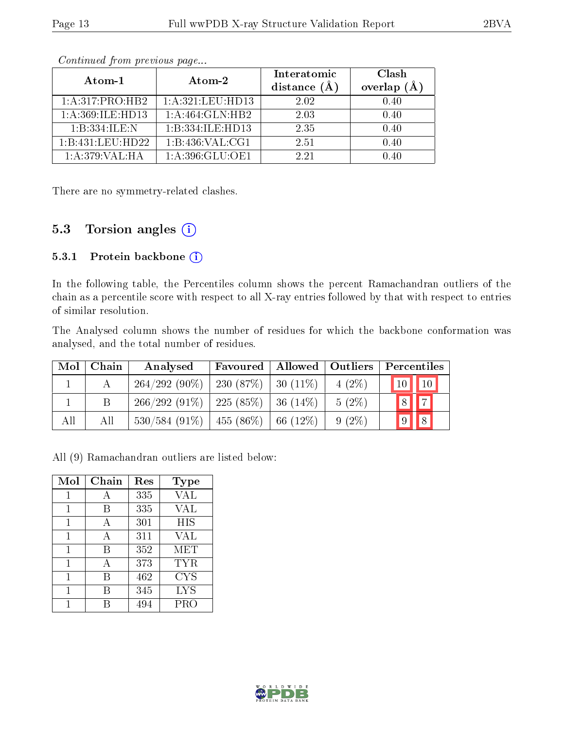| Atom-1              | Atom-2               | Interatomic<br>distance $(A)$ | Clash<br>overlap $(A)$ |
|---------------------|----------------------|-------------------------------|------------------------|
| 1: A:317: PRO:HB2   | 1: A:321:LEU:HD13    | 2.02                          | 0.40                   |
| 1: A:369: ILE: HD13 | 1:A:464:GLN:HB2      | 2.03                          | 0.40                   |
| 1:B:334:ILE:N       | 1:B:334:ILE:HD13     | 2.35                          | 0.40                   |
| 1:B:431:LEU:HD22    | 1:B:436:VAL:CG1      | 2.51                          | 0.40                   |
| 1:A:379:VAL:HA      | $1: A:396: GLU:$ OE1 | 9.91                          | በ 4በ                   |

There are no symmetry-related clashes.

#### 5.3 Torsion angles (i)

#### 5.3.1 Protein backbone (i)

In the following table, the Percentiles column shows the percent Ramachandran outliers of the chain as a percentile score with respect to all X-ray entries followed by that with respect to entries of similar resolution.

The Analysed column shows the number of residues for which the backbone conformation was analysed, and the total number of residues.

| Mol | Chain | Analysed                     | Favoured     | Allowed        | $\mid$ Outliers $\mid$ | Percentiles    |
|-----|-------|------------------------------|--------------|----------------|------------------------|----------------|
|     |       | $264/292(90\%)$   230 (87\%) |              | 30 $(11\%)$    | $4(2\%)$               | $10$   $10$    |
|     |       | $266/292(91\%)$   225 (85\%) |              | $ 36 \ (14\%)$ | $5(2\%)$               | $\overline{a}$ |
| All | Аll   | $530/584(91\%)$              | $-455(86\%)$ | $  66 (12\%)$  | $9(2\%)$               | $\sqrt{8}$     |

All (9) Ramachandran outliers are listed below:

| Mol | Chain | Res | Type       |
|-----|-------|-----|------------|
| 1   | А     | 335 | VAL        |
| 1   | B     | 335 | <b>VAL</b> |
| 1   | А     | 301 | HIS        |
| 1   | А     | 311 | VAL        |
| 1   | В     | 352 | MET        |
| 1   | A     | 373 | <b>TYR</b> |
| 1   | В     | 462 | <b>CYS</b> |
| 1   | В     | 345 | <b>LYS</b> |
|     |       | 494 | PRO        |

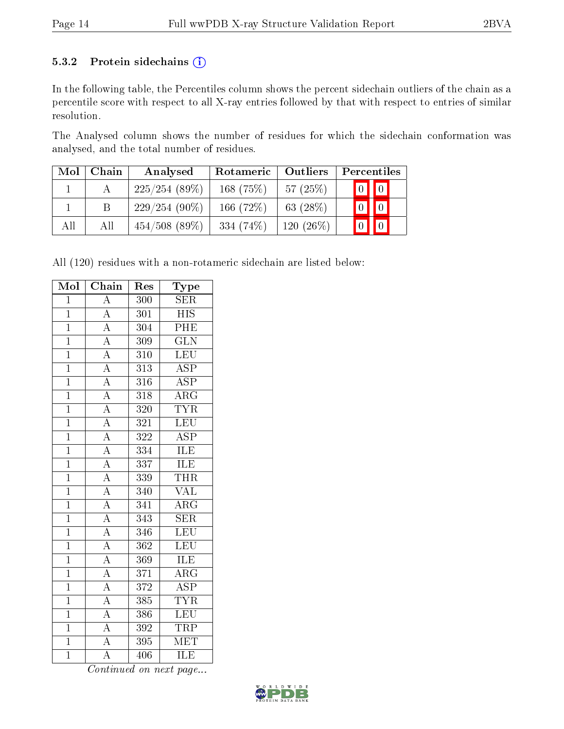#### 5.3.2 Protein sidechains (i)

In the following table, the Percentiles column shows the percent sidechain outliers of the chain as a percentile score with respect to all X-ray entries followed by that with respect to entries of similar resolution.

The Analysed column shows the number of residues for which the sidechain conformation was analysed, and the total number of residues.

| Mol | Chain | Analysed         | Rotameric    | Outliers     |  | Percentiles             |  |
|-----|-------|------------------|--------------|--------------|--|-------------------------|--|
|     |       | 225/254(89%)     | 168(75%)     | 57 $(25%)$   |  | $\boxed{0}$ $\boxed{0}$ |  |
|     |       | $229/254(90\%)$  | 166 $(72%)$  | 63 $(28%)$   |  | $\boxed{0}$ $\boxed{0}$ |  |
| All | All   | $454/508$ (89\%) | 334 $(74\%)$ | 120 $(26\%)$ |  |                         |  |

All (120) residues with a non-rotameric sidechain are listed below:

| Mol            | $\overline{\text{Chain}}$                                                                                                                                                                                                                                   | Res              | ${\rm \bar{Type}}$      |
|----------------|-------------------------------------------------------------------------------------------------------------------------------------------------------------------------------------------------------------------------------------------------------------|------------------|-------------------------|
| $\overline{1}$ | $\overline{A}$                                                                                                                                                                                                                                              | 300              | $\overline{\text{SER}}$ |
| $\overline{1}$ |                                                                                                                                                                                                                                                             | $\overline{301}$ | $\overline{HIS}$        |
| $\overline{1}$ | $\frac{\overline{A}}{A}$                                                                                                                                                                                                                                    | 304              | PHE                     |
| $\overline{1}$ | $\frac{\overline{A}}{\overline{A}}$                                                                                                                                                                                                                         | 309              | $\overline{\text{GLN}}$ |
| $\overline{1}$ |                                                                                                                                                                                                                                                             | 310              | $\overline{\text{LEU}}$ |
| $\mathbf{1}$   |                                                                                                                                                                                                                                                             | 313              | $\overline{\text{ASP}}$ |
| $\overline{1}$ | $\frac{\overline{A}}{\overline{A}}$                                                                                                                                                                                                                         | 316              | $\overline{\text{ASP}}$ |
| $\mathbf{1}$   |                                                                                                                                                                                                                                                             | $\overline{318}$ | $\overline{\rm{ARG}}$   |
| $\overline{1}$ |                                                                                                                                                                                                                                                             | 320              | <b>TYR</b>              |
| $\overline{1}$ | $\frac{\overline{A}}{\overline{A}}$ $\frac{\overline{A}}{\overline{A}}$ $\frac{\overline{A}}{\overline{A}}$ $\frac{\overline{A}}{\overline{A}}$ $\frac{\overline{A}}{\overline{A}}$ $\frac{\overline{A}}{\overline{A}}$ $\frac{\overline{A}}{\overline{A}}$ | 321              | LEU                     |
| $\mathbf{1}$   |                                                                                                                                                                                                                                                             | 322              | $\overline{\text{ASP}}$ |
| $\overline{1}$ |                                                                                                                                                                                                                                                             | 334              | <b>ILE</b>              |
| $\overline{1}$ |                                                                                                                                                                                                                                                             | 337              | <b>ILE</b>              |
| $\overline{1}$ |                                                                                                                                                                                                                                                             | 339              | <b>THR</b>              |
| $\overline{1}$ |                                                                                                                                                                                                                                                             | 340              | <b>VAL</b>              |
| $\overline{1}$ |                                                                                                                                                                                                                                                             | 341              | $\overline{\rm{ARG}}$   |
| $\overline{1}$ |                                                                                                                                                                                                                                                             | 343              | $\overline{\text{SER}}$ |
| $\overline{1}$ |                                                                                                                                                                                                                                                             | 346              | LEU                     |
| $\overline{1}$ |                                                                                                                                                                                                                                                             | $\overline{362}$ | LEU                     |
| $\overline{1}$ |                                                                                                                                                                                                                                                             | 369              | ILE                     |
| $\overline{1}$ |                                                                                                                                                                                                                                                             | $\overline{371}$ | $\overline{\rm{ARG}}$   |
| $\overline{1}$ | $\frac{\overline{A}}{\overline{A}}$                                                                                                                                                                                                                         | 372              | $\overline{\text{ASP}}$ |
| $\mathbf{1}$   |                                                                                                                                                                                                                                                             | 385              | <b>TYR</b>              |
| $\overline{1}$ | $\frac{\overline{A}}{\overline{A}}$                                                                                                                                                                                                                         | 386              | LEU                     |
| $\mathbf{1}$   |                                                                                                                                                                                                                                                             | 392              | TRP                     |
| $\mathbf{1}$   |                                                                                                                                                                                                                                                             | 395              | $\overline{\text{MET}}$ |
| $\overline{1}$ | $\overline{\rm A}$                                                                                                                                                                                                                                          | 406              | ILE                     |

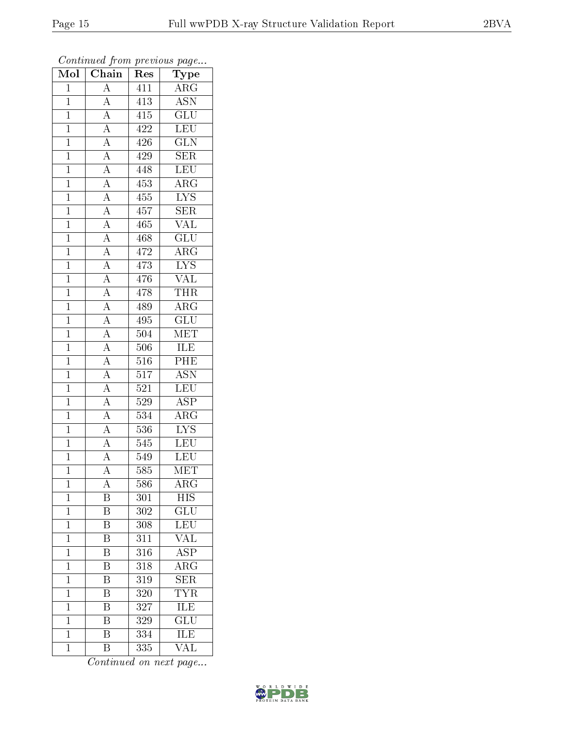| Mol            | Chain                                                                                                                                                                                                                                                                                                       | Res              | ${\bf Type}$            |
|----------------|-------------------------------------------------------------------------------------------------------------------------------------------------------------------------------------------------------------------------------------------------------------------------------------------------------------|------------------|-------------------------|
| $\mathbf{1}$   | $\overline{A}$                                                                                                                                                                                                                                                                                              | 411              | $\overline{\rm{ARG}}$   |
| $\mathbf{1}$   | $\overline{A}$                                                                                                                                                                                                                                                                                              | 413              | <b>ASN</b>              |
| $\overline{1}$ |                                                                                                                                                                                                                                                                                                             | 415              | $\overline{{\rm GLU}}$  |
| $\mathbf{1}$   |                                                                                                                                                                                                                                                                                                             | 422              | <b>LEU</b>              |
| $\overline{1}$ |                                                                                                                                                                                                                                                                                                             | $\overline{426}$ | $\overline{\text{GLN}}$ |
| $\mathbf{1}$   |                                                                                                                                                                                                                                                                                                             | 429              | <b>SER</b>              |
| $\mathbf{1}$   |                                                                                                                                                                                                                                                                                                             | 448              | <b>LEU</b>              |
| $\mathbf{1}$   |                                                                                                                                                                                                                                                                                                             | 453              | $\rm{ARG}$              |
| $\mathbf{1}$   |                                                                                                                                                                                                                                                                                                             | $455\,$          | $\overline{\text{LYS}}$ |
| $\overline{1}$ |                                                                                                                                                                                                                                                                                                             | 457              | $\overline{\text{SER}}$ |
| $\mathbf{1}$   |                                                                                                                                                                                                                                                                                                             | 465              | $\overline{\text{VAL}}$ |
| $\overline{1}$ |                                                                                                                                                                                                                                                                                                             | 468              | $\overline{\text{GLU}}$ |
| $\overline{1}$ |                                                                                                                                                                                                                                                                                                             | 472              | $\overline{\rm{ARG}}$   |
| $\overline{1}$ | $\frac{\overline{A}}{\overline{A}}\frac{\overline{A}}{\overline{A}}\frac{\overline{A}}{\overline{A}}\frac{\overline{A}}{\overline{A}}\frac{\overline{A}}{\overline{A}}\frac{\overline{A}}{\overline{A}}\frac{\overline{A}}{\overline{A}}\frac{\overline{A}}{\overline{A}}\frac{\overline{A}}{\overline{A}}$ | 473              | $\overline{\text{LYS}}$ |
| $\overline{1}$ |                                                                                                                                                                                                                                                                                                             | 476              | $\overline{\text{VAL}}$ |
| $\mathbf{1}$   |                                                                                                                                                                                                                                                                                                             | 478              | <b>THR</b>              |
| $\overline{1}$ |                                                                                                                                                                                                                                                                                                             | 489              | $\overline{\rm{ARG}}$   |
| $\mathbf{1}$   |                                                                                                                                                                                                                                                                                                             | 495              | $\overline{\text{GLU}}$ |
| $\overline{1}$ |                                                                                                                                                                                                                                                                                                             | 504              | $\overline{\text{MET}}$ |
| $\overline{1}$ | $\frac{\overline{A}}{\overline{A}}$ $\frac{\overline{A}}{\overline{A}}$                                                                                                                                                                                                                                     | 506              | <b>ILE</b>              |
| $\mathbf{1}$   |                                                                                                                                                                                                                                                                                                             | 516              | PHE                     |
| $\overline{1}$ |                                                                                                                                                                                                                                                                                                             | $\overline{517}$ | <b>ASN</b>              |
| $\mathbf{1}$   |                                                                                                                                                                                                                                                                                                             | 521              | <b>LEU</b>              |
| $\overline{1}$ | $\frac{\overline{A}}{\overline{A}}$                                                                                                                                                                                                                                                                         | $\overline{529}$ | $\overline{\text{ASP}}$ |
| $\mathbf{1}$   |                                                                                                                                                                                                                                                                                                             | 534              | $\rm{ARG}$              |
| $\mathbf{1}$   | $\frac{\overline{A}}{\overline{A}}$                                                                                                                                                                                                                                                                         | 536              | $\overline{\text{LYS}}$ |
| $\mathbf{1}$   |                                                                                                                                                                                                                                                                                                             | 545              | <b>LEU</b>              |
| $\mathbf{1}$   |                                                                                                                                                                                                                                                                                                             | 549              | LEU                     |
| $\overline{1}$ | $\overline{A}$                                                                                                                                                                                                                                                                                              | 585              | $\overline{\text{MET}}$ |
| $\mathbf 1$    | А                                                                                                                                                                                                                                                                                                           | 586              | $\overline{\rm{ARG}}$   |
| $\mathbf{1}$   | B                                                                                                                                                                                                                                                                                                           | 301              | HIS                     |
| $\mathbf{1}$   | $\overline{\mathrm{B}}$                                                                                                                                                                                                                                                                                     | 302              | $\overline{\text{GLU}}$ |
| $\mathbf{1}$   | B                                                                                                                                                                                                                                                                                                           | 308              | LEU                     |
| $\overline{1}$ | $\overline{\mathrm{B}}$                                                                                                                                                                                                                                                                                     | 311              | $\overline{\text{VAL}}$ |
| $\mathbf{1}$   | B                                                                                                                                                                                                                                                                                                           | 316              | <b>ASP</b>              |
| $\mathbf 1$    | $\overline{\mathrm{B}}$                                                                                                                                                                                                                                                                                     | 318              | $\overline{\rm{ARG}}$   |
| $\mathbf{1}$   | $\overline{\mathrm{B}}$                                                                                                                                                                                                                                                                                     | 319              | $\overline{\text{SER}}$ |
| $\overline{1}$ | B                                                                                                                                                                                                                                                                                                           | 320              | <b>TYR</b>              |
| $\mathbf 1$    | $\overline{\mathrm{B}}$                                                                                                                                                                                                                                                                                     | 327              | ILE                     |
| $\mathbf{1}$   | B                                                                                                                                                                                                                                                                                                           | 329              | $\overline{{\rm GLU}}$  |
| $\mathbf{1}$   | $\overline{\mathrm{B}}$                                                                                                                                                                                                                                                                                     | $\overline{334}$ | <b>ILE</b>              |
| $\mathbf{1}$   | $\overline{B}$                                                                                                                                                                                                                                                                                              | 335              | VAL                     |

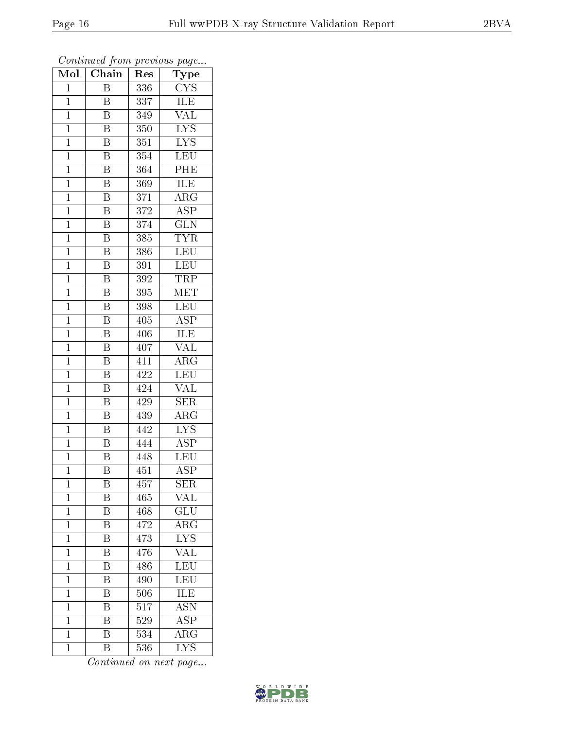| Mol            | Chain                   | $\operatorname{Res}% \left( \mathcal{N}\right) \equiv\operatorname{Res}(\mathcal{N}_{0})\cap\mathcal{N}_{1}$ | Type                    |
|----------------|-------------------------|--------------------------------------------------------------------------------------------------------------|-------------------------|
| $\mathbf{1}$   | $\overline{B}$          | 336                                                                                                          | <b>CYS</b>              |
| $\mathbf{1}$   | $\boldsymbol{B}$        | 337                                                                                                          | ILE                     |
| $\mathbf{1}$   | $\overline{\mathrm{B}}$ | 349                                                                                                          | $\overline{\text{VAL}}$ |
| $\mathbf{1}$   | $\overline{\mathrm{B}}$ | 350                                                                                                          | $\overline{\text{LYS}}$ |
| $\mathbf{1}$   | $\overline{\mathrm{B}}$ | 351                                                                                                          | $\overline{\text{LYS}}$ |
| $\mathbf{1}$   | $\boldsymbol{B}$        | 354                                                                                                          | <b>LEU</b>              |
| $\mathbf{1}$   | $\overline{\mathrm{B}}$ | 364                                                                                                          | PHE                     |
| $\mathbf{1}$   | $\overline{\mathbf{B}}$ | 369                                                                                                          | ILE                     |
| $\mathbf{1}$   | $\overline{\mathrm{B}}$ | 371                                                                                                          | $\rm{ARG}$              |
| $\mathbf 1$    | $\overline{\mathrm{B}}$ | 372                                                                                                          | $\overline{\text{ASP}}$ |
| $\mathbf{1}$   | $\overline{\mathrm{B}}$ | 374                                                                                                          | $\overline{\text{GLN}}$ |
| $\overline{1}$ | $\overline{\mathrm{B}}$ | 385                                                                                                          | <b>TYR</b>              |
| $\mathbf{1}$   | $\overline{\mathrm{B}}$ | 386                                                                                                          | LEU                     |
| $\mathbf{1}$   | $\overline{\mathbf{B}}$ | $\overline{3}91$                                                                                             | LEU                     |
| $\overline{1}$ | $\overline{\mathrm{B}}$ | 392                                                                                                          | <b>TRP</b>              |
| $\mathbf 1$    | B                       | 395                                                                                                          | $\overline{\text{MET}}$ |
| $\overline{1}$ | $\overline{\mathrm{B}}$ | 398                                                                                                          | LEU                     |
| $\mathbf{1}$   | $\overline{\mathrm{B}}$ | 405                                                                                                          | ASP                     |
| $\mathbf 1$    | B                       | 406                                                                                                          | $\overline{\text{ILE}}$ |
| $\mathbf{1}$   | $\rm \bar{B}$           | 407                                                                                                          | VAL                     |
| $\overline{1}$ | $\overline{\mathrm{B}}$ | 411                                                                                                          | $\rm{ARG}$              |
| $\overline{1}$ | $\overline{\mathbf{B}}$ | 422                                                                                                          | <b>LEU</b>              |
| $\mathbf{1}$   | $\, {\bf B}$            | 424                                                                                                          | <b>VAL</b>              |
| $\mathbf{1}$   | $\overline{\mathrm{B}}$ | 429                                                                                                          | <b>SER</b>              |
| $\mathbf{1}$   | $\overline{B}$          | 439                                                                                                          | $\rm{ARG}$              |
| $\mathbf{1}$   | $\overline{\mathrm{B}}$ | $\overline{442}$                                                                                             | $\overline{\text{LYS}}$ |
| $\mathbf{1}$   | $\overline{\mathrm{B}}$ | 444                                                                                                          | $\overline{\text{ASP}}$ |
| $\mathbf 1$    | B                       | 448                                                                                                          | LEU                     |
| $\mathbf 1$    | $\overline{\mathrm{B}}$ | $\overline{451}$                                                                                             | $\overline{\text{ASP}}$ |
| 1              | B                       | 457                                                                                                          | <b>SER</b>              |
| $\mathbf 1$    | Β                       | 465                                                                                                          | VAL                     |
| $\mathbf 1$    | $\overline{\mathrm{B}}$ | 468                                                                                                          | $\overline{\text{GLU}}$ |
| $\mathbf 1$    | Β                       | 472                                                                                                          | $\rm{ARG}$              |
| $\mathbf{1}$   | $\overline{\mathrm{B}}$ | 473                                                                                                          | $\overline{\text{LYS}}$ |
| $\mathbf{1}$   | B                       | 476                                                                                                          | VAL                     |
| $\overline{1}$ | $\overline{\mathrm{B}}$ | 486                                                                                                          | $\overline{\text{LEU}}$ |
| $\mathbf{1}$   | $\overline{\mathrm{B}}$ | 490                                                                                                          | LEU                     |
| $\overline{1}$ | $\overline{\rm B}$      | 506                                                                                                          | $\overline{\text{ILE}}$ |
| $\mathbf 1$    | $\overline{\mathrm{B}}$ | 517                                                                                                          | $\overline{\text{ASN}}$ |
| $\mathbf 1$    | B                       | 529                                                                                                          | $\overline{\rm ASP}$    |
| $\mathbf 1$    | $\overline{\mathrm{B}}$ | 534                                                                                                          | $\overline{\rm{ARG}}$   |
| $\mathbf 1$    | Β                       | 536                                                                                                          | $\overline{\rm LYS}$    |

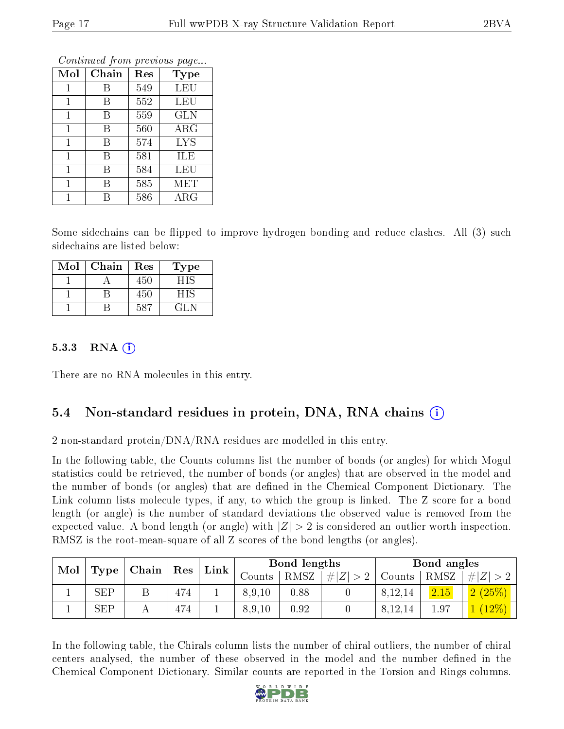| Mol          | Chain | Res | <b>Type</b> |
|--------------|-------|-----|-------------|
| 1            | В     | 549 | LEU         |
| 1            | В     | 552 | LEU         |
| 1            | В     | 559 | <b>GLN</b>  |
| $\mathbf{1}$ | В     | 560 | $\rm{ARG}$  |
| 1            | В     | 574 | <b>LYS</b>  |
| $\mathbf{1}$ | В     | 581 | ILE         |
| 1            | В     | 584 | LEU         |
| 1            | В     | 585 | MET         |
| 1            | R     | 586 | $\rm{ARG}$  |

Some sidechains can be flipped to improve hydrogen bonding and reduce clashes. All (3) such sidechains are listed below:

| Mol | Chain | Res | Type |
|-----|-------|-----|------|
|     |       | 450 | НIS  |
|     |       | 450 | НIS  |
|     |       | 587 | CL N |

#### 5.3.3 RNA (1)

There are no RNA molecules in this entry.

### 5.4 Non-standard residues in protein, DNA, RNA chains (i)

2 non-standard protein/DNA/RNA residues are modelled in this entry.

In the following table, the Counts columns list the number of bonds (or angles) for which Mogul statistics could be retrieved, the number of bonds (or angles) that are observed in the model and the number of bonds (or angles) that are defined in the Chemical Component Dictionary. The Link column lists molecule types, if any, to which the group is linked. The Z score for a bond length (or angle) is the number of standard deviations the observed value is removed from the expected value. A bond length (or angle) with  $|Z| > 2$  is considered an outlier worth inspection. RMSZ is the root-mean-square of all Z scores of the bond lengths (or angles).

| Mol<br>Type | Chain      |   |     |      |          | Bond lengths |             |         | Bond angles |             |  |
|-------------|------------|---|-----|------|----------|--------------|-------------|---------|-------------|-------------|--|
|             |            |   | Res | Link | Counts - | RMSZ         | # $ Z  > 2$ | Counts  | RMSZ        | $\# Z  > 2$ |  |
|             | <b>SEP</b> | Β | 474 |      | 8,9,10   | 0.88         |             | 8,12,14 | 2.15        | $(2.6\%)$   |  |
|             | SEP        |   | 474 |      | 8,9,10   | 0.92         |             | 8,12,14 | $1.97\,$    | $12\%$      |  |

In the following table, the Chirals column lists the number of chiral outliers, the number of chiral centers analysed, the number of these observed in the model and the number defined in the Chemical Component Dictionary. Similar counts are reported in the Torsion and Rings columns.

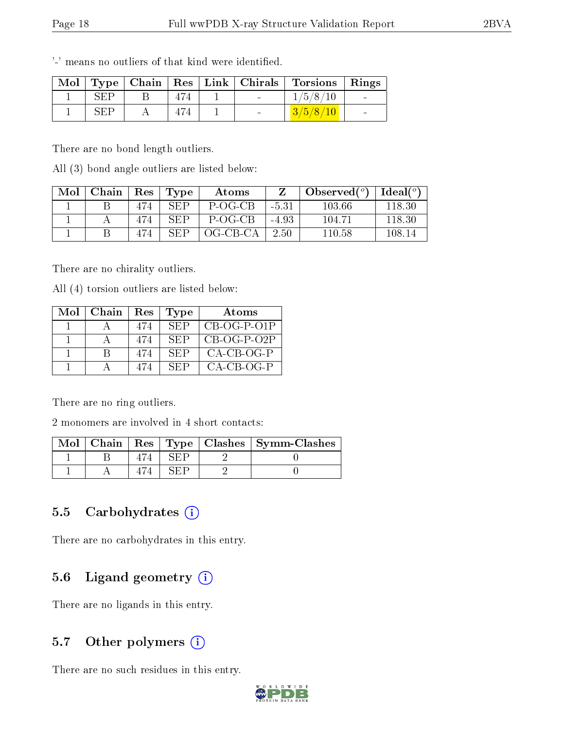|     |  |  | Mol   Type   Chain   Res   Link   Chirals   Torsions   Rings |  |
|-----|--|--|--------------------------------------------------------------|--|
| SEP |  |  | 1/5/8/10                                                     |  |
| SFP |  |  |                                                              |  |

'-' means no outliers of that kind were identified.

There are no bond length outliers.

All (3) bond angle outliers are listed below:

| Mol | Chain |     | $\vert$ Res $\vert$ Type | Atoms    |       | Observed $(°)$ | Ideal $(°)$ |
|-----|-------|-----|--------------------------|----------|-------|----------------|-------------|
|     |       | 474 | SEP                      | P-OG-CB  | -5.31 | 103.66         | 118.30      |
|     |       |     | SFP                      | P-OG-CB  | -4.93 | 104.71         | 118.30      |
|     |       |     | <b>SFP</b>               | OG-CB-CA | 2.50  | 110.58         | 108.14      |

There are no chirality outliers.

All (4) torsion outliers are listed below:

| Mol | - Chain | Res | <b>Type</b> | Atoms         |
|-----|---------|-----|-------------|---------------|
|     |         | 474 | SEP         | $CB-OG-P-O1P$ |
|     |         | 474 | -SEP        | $CB-OG-P-O2P$ |
|     | R       | 474 | SEP         | $CA-CB-OG-P$  |
|     |         |     | SEP.        | $CA-CB-OG-P$  |

There are no ring outliers.

2 monomers are involved in 4 short contacts:

| Mol | Chain |  | Res   Type   Clashes   Symm-Clashes |
|-----|-------|--|-------------------------------------|
|     |       |  |                                     |
|     |       |  |                                     |

#### 5.5 Carbohydrates  $(i)$

There are no carbohydrates in this entry.

### 5.6 Ligand geometry (i)

There are no ligands in this entry.

### 5.7 [O](https://www.wwpdb.org/validation/2017/XrayValidationReportHelp#nonstandard_residues_and_ligands)ther polymers  $(i)$

There are no such residues in this entry.

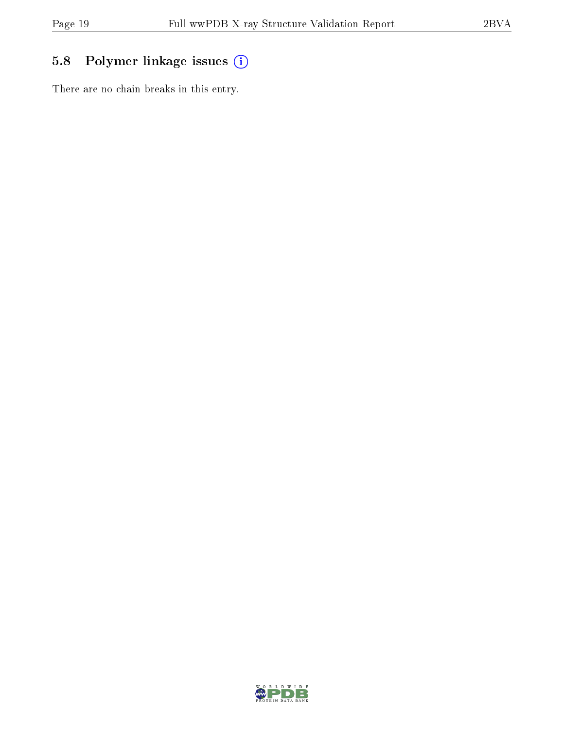## 5.8 Polymer linkage issues (i)

There are no chain breaks in this entry.

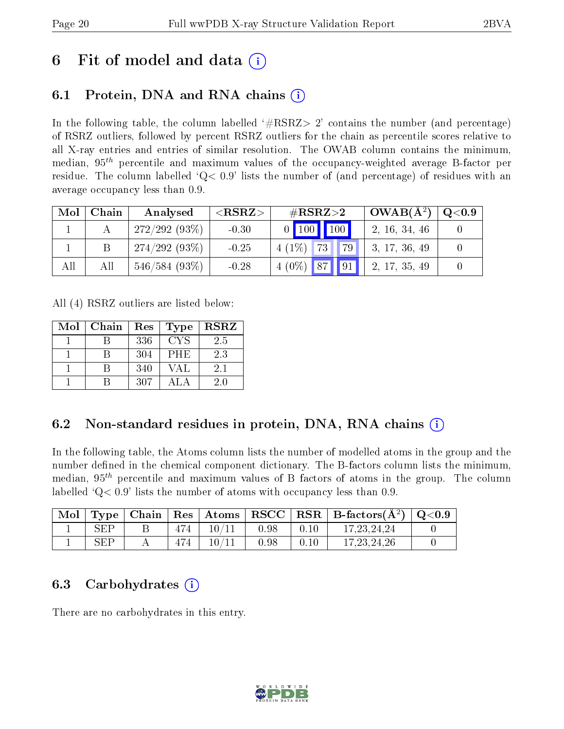## 6 Fit of model and data  $\left( \cdot \right)$

### 6.1 Protein, DNA and RNA chains (i)

In the following table, the column labelled  $#RSRZ>2'$  contains the number (and percentage) of RSRZ outliers, followed by percent RSRZ outliers for the chain as percentile scores relative to all X-ray entries and entries of similar resolution. The OWAB column contains the minimum, median,  $95<sup>th</sup>$  percentile and maximum values of the occupancy-weighted average B-factor per residue. The column labelled  $Q< 0.9$  lists the number of (and percentage) of residues with an average occupancy less than 0.9.

| Mol | Chain | Analysed        | ${ <\hspace{-1.5pt}{\mathrm{RSRZ}} \hspace{-1.5pt}>}$ | $\#\text{RSRZ}\text{>2}$     | $\sim$ OWAB( $A^2$ ) | Q <sub>0.9</sub> |
|-----|-------|-----------------|-------------------------------------------------------|------------------------------|----------------------|------------------|
|     |       | 272/292(93%)    | $-0.30$                                               | $\mid$ 100 $\mid$ 100 $\mid$ | 2, 16, 34, 46        |                  |
|     |       | $274/292(93\%)$ | $-0.25$                                               | $4(1\%)$<br>79<br> 73        | 3, 17, 36, 49        |                  |
| All | Αll   | 546/584(93%)    | $-0.28$                                               | $14(0\%)$ 87 91              | 2, 17, 35, 49        |                  |

All (4) RSRZ outliers are listed below:

| Mol | Chain | Res | Type       | <b>RSRZ</b> |
|-----|-------|-----|------------|-------------|
|     |       | 336 | <b>CYS</b> | 2.5         |
|     |       | 304 | PHE        | 2.3         |
|     |       | 340 | VAL        | 2.1         |
|     |       | 307 | AΙΑ        | 2.0         |

### 6.2 Non-standard residues in protein, DNA, RNA chains (i)

In the following table, the Atoms column lists the number of modelled atoms in the group and the number defined in the chemical component dictionary. The B-factors column lists the minimum, median,  $95<sup>th</sup>$  percentile and maximum values of B factors of atoms in the group. The column labelled  $Q< 0.9$ ' lists the number of atoms with occupancy less than 0.9.

| Mol | $\mid$ Type $\mid$   |     |       |      |      | $\vert$ Chain   Res   Atoms   RSCC   RSR   B-factors $(A^2)$   Q<0.9 |  |
|-----|----------------------|-----|-------|------|------|----------------------------------------------------------------------|--|
|     | $\operatorname{SEP}$ | 474 | 10/11 | 0.98 | 0.10 | 17, 23, 24, 24                                                       |  |
|     | SFP                  |     | 10/11 | 0.98 | 0.10 | 17.23.24.26                                                          |  |

### 6.3 Carbohydrates  $(i)$

There are no carbohydrates in this entry.